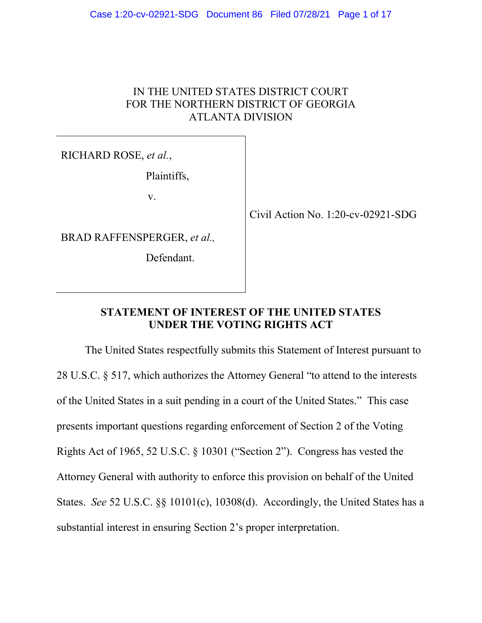# IN THE UNITED STATES DISTRICT COURT FOR THE NORTHERN DISTRICT OF GEORGIA ATLANTA DIVISION

RICHARD ROSE, *et al.*,

Plaintiffs,

v.

BRAD RAFFENSPERGER, *et al.,* 

Defendant.

Civil Action No. 1:20-cv-02921-SDG

# **STATEMENT OF INTEREST OF THE UNITED STATES UNDER THE VOTING RIGHTS ACT**

The United States respectfully submits this Statement of Interest pursuant to 28 U.S.C. § 517, which authorizes the Attorney General "to attend to the interests of the United States in a suit pending in a court of the United States." This case presents important questions regarding enforcement of Section 2 of the Voting Rights Act of 1965, 52 U.S.C. § 10301 ("Section 2"). Congress has vested the Attorney General with authority to enforce this provision on behalf of the United States. *See* 52 U.S.C. §§ 10101(c), 10308(d). Accordingly, the United States has a substantial interest in ensuring Section 2's proper interpretation.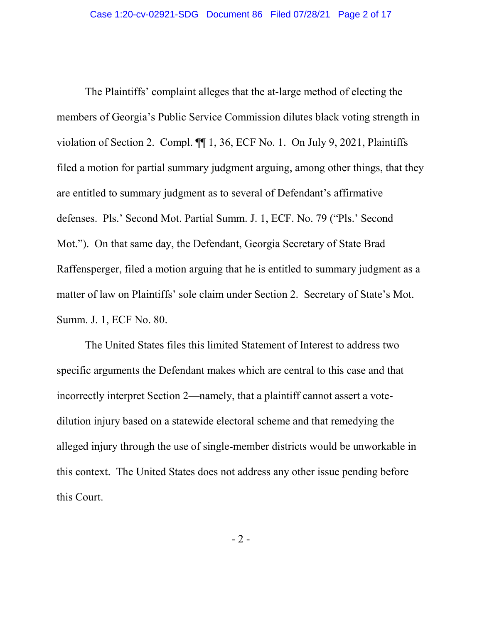The Plaintiffs' complaint alleges that the at-large method of electing the members of Georgia's Public Service Commission dilutes black voting strength in violation of Section 2. Compl. ¶¶ 1, 36, ECF No. 1. On July 9, 2021, Plaintiffs filed a motion for partial summary judgment arguing, among other things, that they are entitled to summary judgment as to several of Defendant's affirmative defenses. Pls.' Second Mot. Partial Summ. J. 1, ECF. No. 79 ("Pls.' Second Mot."). On that same day, the Defendant, Georgia Secretary of State Brad Raffensperger, filed a motion arguing that he is entitled to summary judgment as a matter of law on Plaintiffs' sole claim under Section 2. Secretary of State's Mot. Summ. J. 1, ECF No. 80.

The United States files this limited Statement of Interest to address two specific arguments the Defendant makes which are central to this case and that incorrectly interpret Section 2—namely, that a plaintiff cannot assert a votedilution injury based on a statewide electoral scheme and that remedying the alleged injury through the use of single-member districts would be unworkable in this context. The United States does not address any other issue pending before this Court.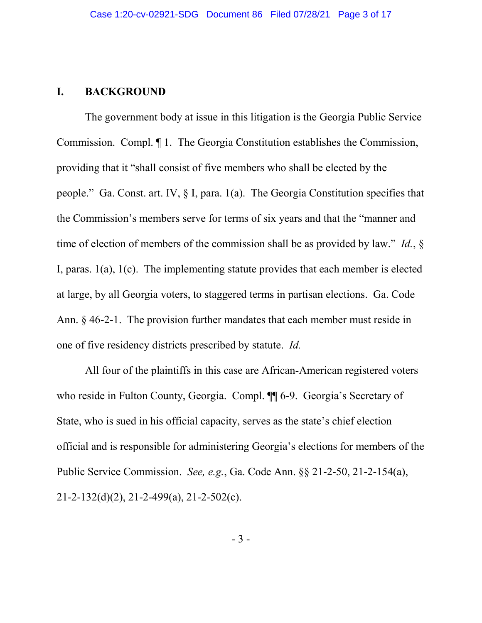#### **I. BACKGROUND**

The government body at issue in this litigation is the Georgia Public Service Commission. Compl. ¶ 1. The Georgia Constitution establishes the Commission, providing that it "shall consist of five members who shall be elected by the people." Ga. Const. art. IV, § I, para. 1(a). The Georgia Constitution specifies that the Commission's members serve for terms of six years and that the "manner and time of election of members of the commission shall be as provided by law." *Id.*, § I, paras. 1(a), 1(c). The implementing statute provides that each member is elected at large, by all Georgia voters, to staggered terms in partisan elections. Ga. Code Ann. § 46-2-1. The provision further mandates that each member must reside in one of five residency districts prescribed by statute. *Id.*

All four of the plaintiffs in this case are African-American registered voters who reside in Fulton County, Georgia. Compl. <sup>¶</sup> 6-9. Georgia's Secretary of State, who is sued in his official capacity, serves as the state's chief election official and is responsible for administering Georgia's elections for members of the Public Service Commission. *See, e.g.*, Ga. Code Ann. §§ 21-2-50, 21-2-154(a), 21-2-132(d)(2), 21-2-499(a), 21-2-502(c).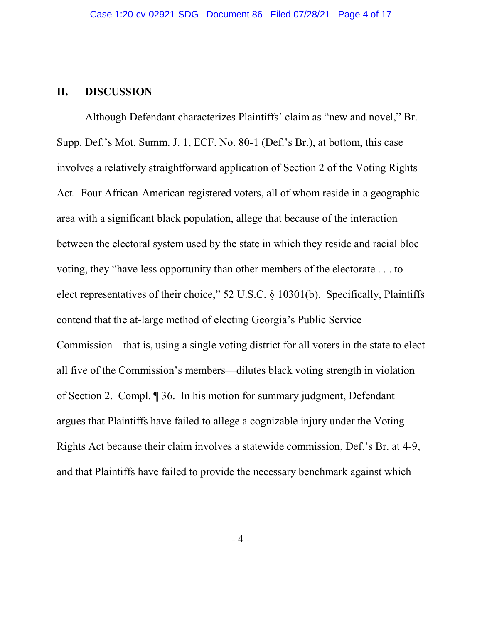#### **II. DISCUSSION**

Although Defendant characterizes Plaintiffs' claim as "new and novel," Br. Supp. Def.'s Mot. Summ. J. 1, ECF. No. 80-1 (Def.'s Br.), at bottom, this case involves a relatively straightforward application of Section 2 of the Voting Rights Act. Four African-American registered voters, all of whom reside in a geographic area with a significant black population, allege that because of the interaction between the electoral system used by the state in which they reside and racial bloc voting, they "have less opportunity than other members of the electorate . . . to elect representatives of their choice," 52 U.S.C. § 10301(b). Specifically, Plaintiffs contend that the at-large method of electing Georgia's Public Service Commission—that is, using a single voting district for all voters in the state to elect all five of the Commission's members—dilutes black voting strength in violation of Section 2. Compl. ¶ 36. In his motion for summary judgment, Defendant argues that Plaintiffs have failed to allege a cognizable injury under the Voting Rights Act because their claim involves a statewide commission, Def.'s Br. at 4-9, and that Plaintiffs have failed to provide the necessary benchmark against which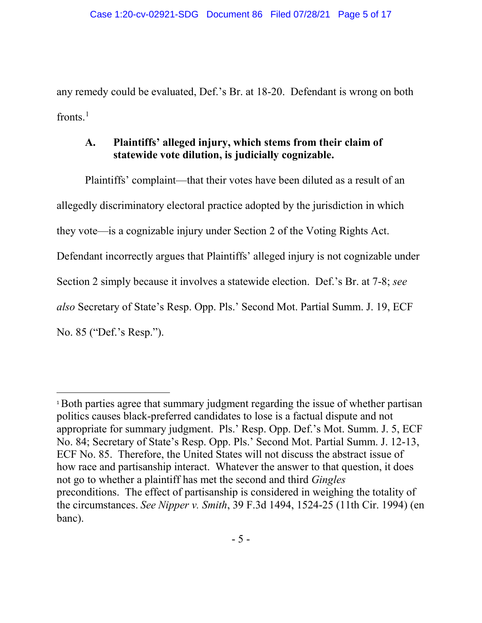any remedy could be evaluated, Def.'s Br. at 18-20. Defendant is wrong on both fronts. $<sup>1</sup>$  $<sup>1</sup>$  $<sup>1</sup>$ </sup>

# **A. Plaintiffs' alleged injury, which stems from their claim of statewide vote dilution, is judicially cognizable.**

Plaintiffs' complaint—that their votes have been diluted as a result of an allegedly discriminatory electoral practice adopted by the jurisdiction in which they vote—is a cognizable injury under Section 2 of the Voting Rights Act. Defendant incorrectly argues that Plaintiffs' alleged injury is not cognizable under Section 2 simply because it involves a statewide election. Def.'s Br. at 7-8; *see also* Secretary of State's Resp. Opp. Pls.' Second Mot. Partial Summ. J. 19, ECF No. 85 ("Def.'s Resp.").

 $\overline{\phantom{a}}$ 

<span id="page-4-0"></span><sup>&</sup>lt;sup>1</sup>Both parties agree that summary judgment regarding the issue of whether partisan politics causes black-preferred candidates to lose is a factual dispute and not appropriate for summary judgment. Pls.' Resp. Opp. Def.'s Mot. Summ. J. 5, ECF No. 84; Secretary of State's Resp. Opp. Pls.' Second Mot. Partial Summ. J. 12-13, ECF No. 85. Therefore, the United States will not discuss the abstract issue of how race and partisanship interact. Whatever the answer to that question, it does not go to whether a plaintiff has met the second and third *Gingles* preconditions. The effect of partisanship is considered in weighing the totality of the circumstances. *See Nipper v. Smith*, 39 F.3d 1494, 1524-25 (11th Cir. 1994) (en banc).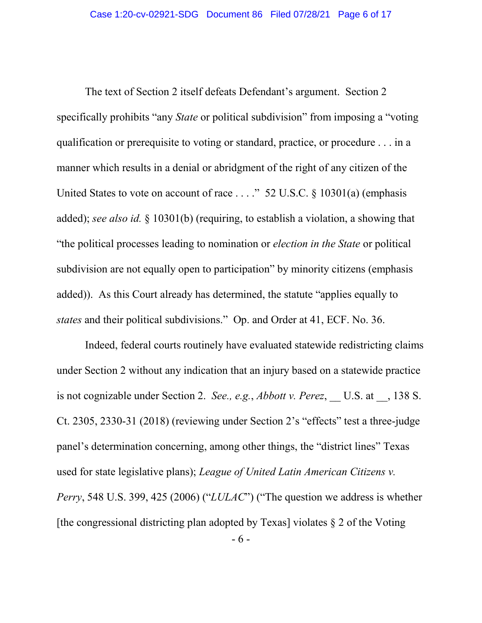The text of Section 2 itself defeats Defendant's argument. Section 2 specifically prohibits "any *State* or political subdivision" from imposing a "voting qualification or prerequisite to voting or standard, practice, or procedure . . . in a manner which results in a denial or abridgment of the right of any citizen of the United States to vote on account of race . . . ." 52 U.S.C. § 10301(a) (emphasis added); *see also id.* § 10301(b) (requiring, to establish a violation, a showing that "the political processes leading to nomination or *election in the State* or political subdivision are not equally open to participation" by minority citizens (emphasis added)). As this Court already has determined, the statute "applies equally to *states* and their political subdivisions." Op. and Order at 41, ECF. No. 36.

Indeed, federal courts routinely have evaluated statewide redistricting claims under Section 2 without any indication that an injury based on a statewide practice is not cognizable under Section 2. *See., e.g.*, *Abbott v. Perez*, \_\_ U.S. at \_\_, 138 S. Ct. 2305, 2330-31 (2018) (reviewing under Section 2's "effects" test a three-judge panel's determination concerning, among other things, the "district lines" Texas used for state legislative plans); *League of United Latin American Citizens v. Perry*, 548 U.S. 399, 425 (2006) ("*LULAC*") ("The question we address is whether [the congressional districting plan adopted by Texas] violates  $\S 2$  of the Voting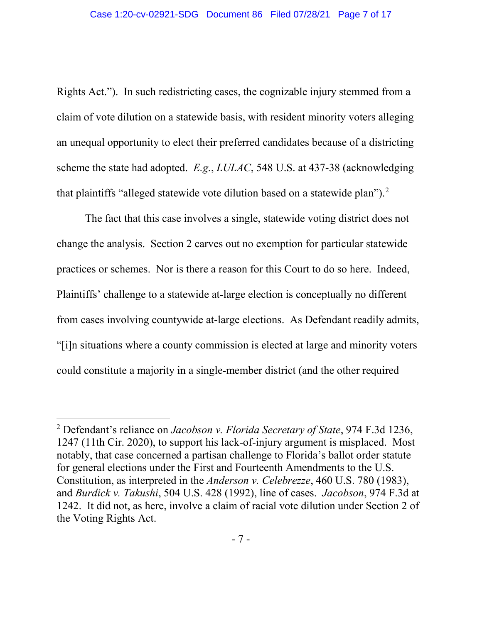Rights Act."). In such redistricting cases, the cognizable injury stemmed from a claim of vote dilution on a statewide basis, with resident minority voters alleging an unequal opportunity to elect their preferred candidates because of a districting scheme the state had adopted. *E.g.*, *LULAC*, 548 U.S. at 437-38 (acknowledging that plaintiffs "alleged statewide vote dilution based on a statewide plan").<sup>[2](#page-6-0)</sup>

The fact that this case involves a single, statewide voting district does not change the analysis. Section 2 carves out no exemption for particular statewide practices or schemes. Nor is there a reason for this Court to do so here. Indeed, Plaintiffs' challenge to a statewide at-large election is conceptually no different from cases involving countywide at-large elections. As Defendant readily admits, "[i]n situations where a county commission is elected at large and minority voters could constitute a majority in a single-member district (and the other required

l

<span id="page-6-0"></span><sup>2</sup> Defendant's reliance on *Jacobson v. Florida Secretary of State*, 974 F.3d 1236, 1247 (11th Cir. 2020), to support his lack-of-injury argument is misplaced. Most notably, that case concerned a partisan challenge to Florida's ballot order statute for general elections under the First and Fourteenth Amendments to the U.S. Constitution, as interpreted in the *Anderson v. Celebrezze*, 460 U.S. 780 (1983), and *Burdick v. Takushi*, 504 U.S. 428 (1992), line of cases. *Jacobson*, 974 F.3d at 1242. It did not, as here, involve a claim of racial vote dilution under Section 2 of the Voting Rights Act.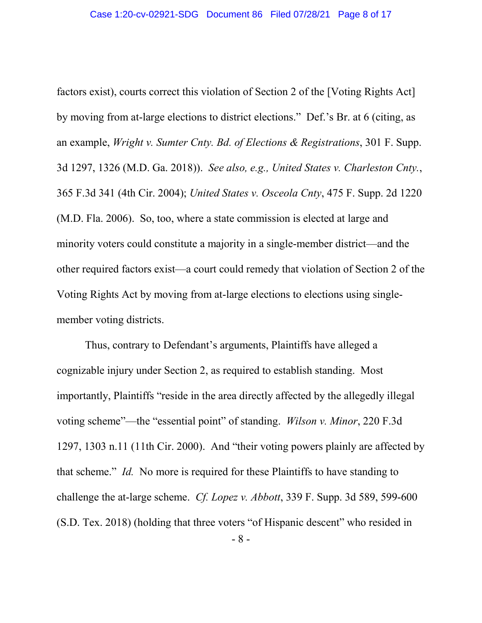factors exist), courts correct this violation of Section 2 of the [Voting Rights Act] by moving from at-large elections to district elections." Def.'s Br. at 6 (citing, as an example, *Wright v. Sumter Cnty. Bd. of Elections & Registrations*, 301 F. Supp. 3d 1297, 1326 (M.D. Ga. 2018)). *See also, e.g., United States v. Charleston Cnty.*, 365 F.3d 341 (4th Cir. 2004); *United States v. Osceola Cnty*, 475 F. Supp. 2d 1220 (M.D. Fla. 2006). So, too, where a state commission is elected at large and minority voters could constitute a majority in a single-member district—and the other required factors exist—a court could remedy that violation of Section 2 of the Voting Rights Act by moving from at-large elections to elections using singlemember voting districts.

Thus, contrary to Defendant's arguments, Plaintiffs have alleged a cognizable injury under Section 2, as required to establish standing. Most importantly, Plaintiffs "reside in the area directly affected by the allegedly illegal voting scheme"—the "essential point" of standing. *Wilson v. Minor*, 220 F.3d 1297, 1303 n.11 (11th Cir. 2000). And "their voting powers plainly are affected by that scheme." *Id.* No more is required for these Plaintiffs to have standing to challenge the at-large scheme. *Cf. Lopez v. Abbott*, 339 F. Supp. 3d 589, 599-600 (S.D. Tex. 2018) (holding that three voters "of Hispanic descent" who resided in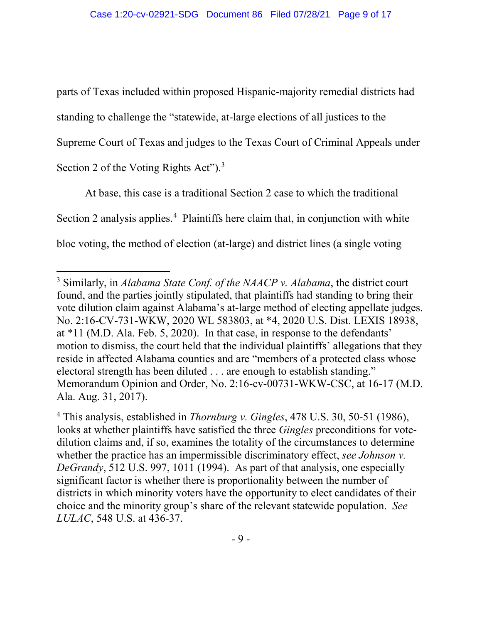parts of Texas included within proposed Hispanic-majority remedial districts had standing to challenge the "statewide, at-large elections of all justices to the Supreme Court of Texas and judges to the Texas Court of Criminal Appeals under Section 2 of the Voting Rights Act").<sup>[3](#page-8-0)</sup>

At base, this case is a traditional Section 2 case to which the traditional Section 2 analysis applies. [4](#page-8-1) Plaintiffs here claim that, in conjunction with white bloc voting, the method of election (at-large) and district lines (a single voting

l

<span id="page-8-0"></span><sup>3</sup> Similarly, in *Alabama State Conf. of the NAACP v. Alabama*, the district court found, and the parties jointly stipulated, that plaintiffs had standing to bring their vote dilution claim against Alabama's at-large method of electing appellate judges. No. 2:16-CV-731-WKW, 2020 WL 583803, at \*4, 2020 U.S. Dist. LEXIS 18938, at \*11 (M.D. Ala. Feb. 5, 2020). In that case, in response to the defendants' motion to dismiss, the court held that the individual plaintiffs' allegations that they reside in affected Alabama counties and are "members of a protected class whose electoral strength has been diluted . . . are enough to establish standing." Memorandum Opinion and Order, No. 2:16-cv-00731-WKW-CSC, at 16-17 (M.D. Ala. Aug. 31, 2017).

<span id="page-8-1"></span><sup>4</sup> This analysis, established in *Thornburg v. Gingles*, 478 U.S. 30, 50-51 (1986), looks at whether plaintiffs have satisfied the three *Gingles* preconditions for votedilution claims and, if so, examines the totality of the circumstances to determine whether the practice has an impermissible discriminatory effect, *see Johnson v. DeGrandy*, 512 U.S. 997, 1011 (1994). As part of that analysis, one especially significant factor is whether there is proportionality between the number of districts in which minority voters have the opportunity to elect candidates of their choice and the minority group's share of the relevant statewide population. *See LULAC*, 548 U.S. at 436-37.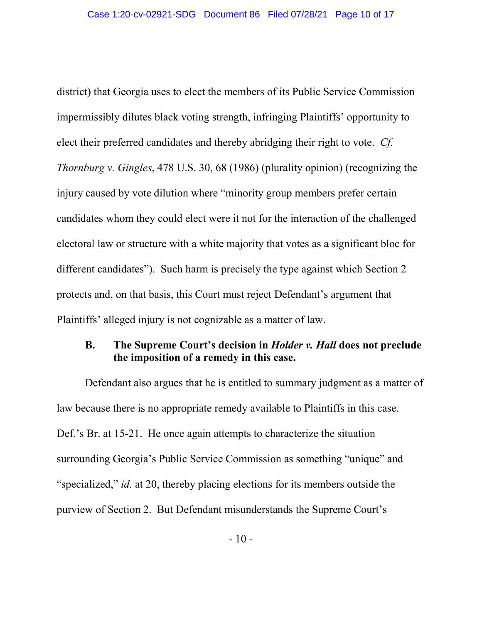district) that Georgia uses to elect the members of its Public Service Commission impermissibly dilutes black voting strength, infringing Plaintiffs' opportunity to elect their preferred candidates and thereby abridging their right to vote. *Cf. Thornburg v. Gingles*, 478 U.S. 30, 68 (1986) (plurality opinion) (recognizing the injury caused by vote dilution where "minority group members prefer certain candidates whom they could elect were it not for the interaction of the challenged electoral law or structure with a white majority that votes as a significant bloc for different candidates"). Such harm is precisely the type against which Section 2 protects and, on that basis, this Court must reject Defendant's argument that Plaintiffs' alleged injury is not cognizable as a matter of law.

### **B. The Supreme Court's decision in** *Holder v. Hall* **does not preclude the imposition of a remedy in this case.**

Defendant also argues that he is entitled to summary judgment as a matter of law because there is no appropriate remedy available to Plaintiffs in this case. Def.'s Br. at 15-21. He once again attempts to characterize the situation surrounding Georgia's Public Service Commission as something "unique" and "specialized," *id.* at 20, thereby placing elections for its members outside the purview of Section 2. But Defendant misunderstands the Supreme Court's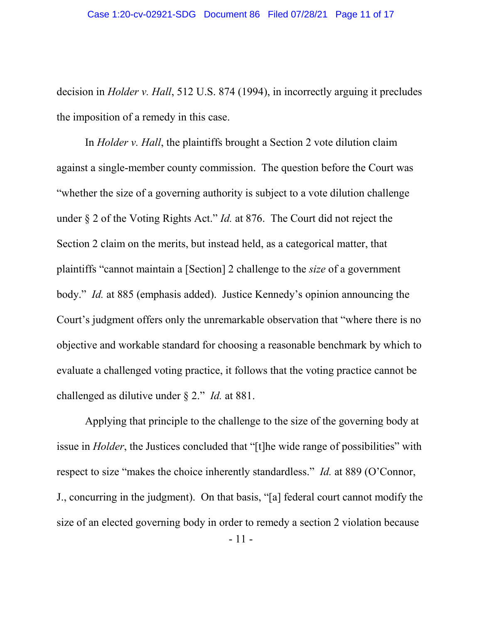decision in *Holder v. Hall*, 512 U.S. 874 (1994), in incorrectly arguing it precludes the imposition of a remedy in this case.

In *Holder v. Hall*, the plaintiffs brought a Section 2 vote dilution claim against a single-member county commission. The question before the Court was "whether the size of a governing authority is subject to a vote dilution challenge under § 2 of the Voting Rights Act." *Id.* at 876. The Court did not reject the Section 2 claim on the merits, but instead held, as a categorical matter, that plaintiffs "cannot maintain a [Section] 2 challenge to the *size* of a government body." *Id.* at 885 (emphasis added). Justice Kennedy's opinion announcing the Court's judgment offers only the unremarkable observation that "where there is no objective and workable standard for choosing a reasonable benchmark by which to evaluate a challenged voting practice, it follows that the voting practice cannot be challenged as dilutive under § 2." *Id.* at 881.

Applying that principle to the challenge to the size of the governing body at issue in *Holder*, the Justices concluded that "[t]he wide range of possibilities" with respect to size "makes the choice inherently standardless." *Id.* at 889 (O'Connor, J., concurring in the judgment). On that basis, "[a] federal court cannot modify the size of an elected governing body in order to remedy a section 2 violation because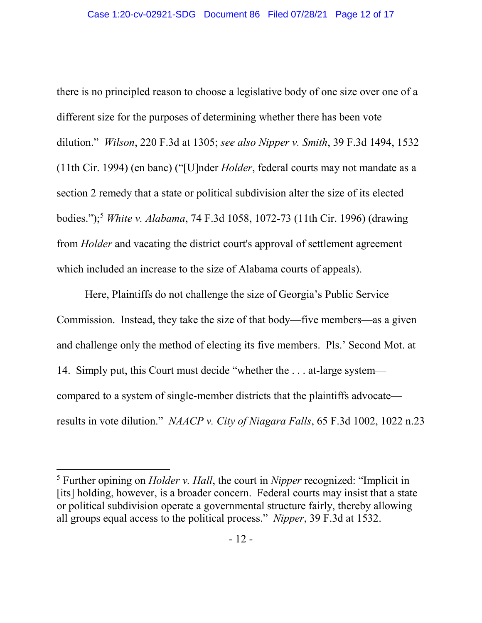there is no principled reason to choose a legislative body of one size over one of a different size for the purposes of determining whether there has been vote dilution." *Wilson*, 220 F.3d at 1305; *see also Nipper v. Smith*, 39 F.3d 1494, 1532 (11th Cir. 1994) (en banc) ("[U]nder *Holder*, federal courts may not mandate as a section 2 remedy that a state or political subdivision alter the size of its elected bodies.");[5](#page-11-0) *White v. Alabama*, 74 F.3d 1058, 1072-73 (11th Cir. 1996) (drawing from *Holder* and vacating the district court's approval of settlement agreement which included an increase to the size of Alabama courts of appeals).

Here, Plaintiffs do not challenge the size of Georgia's Public Service Commission. Instead, they take the size of that body—five members—as a given and challenge only the method of electing its five members. Pls.' Second Mot. at 14. Simply put, this Court must decide "whether the . . . at-large system compared to a system of single-member districts that the plaintiffs advocate results in vote dilution." *NAACP v. City of Niagara Falls*, 65 F.3d 1002, 1022 n.23

 $\overline{\phantom{a}}$ 

<span id="page-11-0"></span><sup>5</sup> Further opining on *Holder v. Hall*, the court in *Nipper* recognized: "Implicit in [its] holding, however, is a broader concern. Federal courts may insist that a state or political subdivision operate a governmental structure fairly, thereby allowing all groups equal access to the political process." *Nipper*, 39 F.3d at 1532.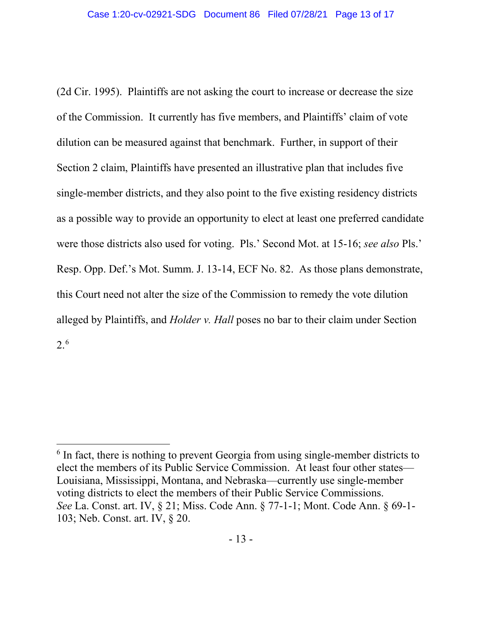(2d Cir. 1995). Plaintiffs are not asking the court to increase or decrease the size of the Commission. It currently has five members, and Plaintiffs' claim of vote dilution can be measured against that benchmark. Further, in support of their Section 2 claim, Plaintiffs have presented an illustrative plan that includes five single-member districts, and they also point to the five existing residency districts as a possible way to provide an opportunity to elect at least one preferred candidate were those districts also used for voting. Pls.' Second Mot. at 15-16; *see also* Pls.' Resp. Opp. Def.'s Mot. Summ. J. 13-14, ECF No. 82. As those plans demonstrate, this Court need not alter the size of the Commission to remedy the vote dilution alleged by Plaintiffs, and *Holder v. Hall* poses no bar to their claim under Section 2. [6](#page-12-0)

 $\overline{a}$ 

<span id="page-12-0"></span> $6$  In fact, there is nothing to prevent Georgia from using single-member districts to elect the members of its Public Service Commission. At least four other states— Louisiana, Mississippi, Montana, and Nebraska—currently use single-member voting districts to elect the members of their Public Service Commissions. *See* La. Const. art. IV, § 21; Miss. Code Ann. § 77-1-1; Mont. Code Ann. § 69-1- 103; Neb. Const. art. IV, § 20.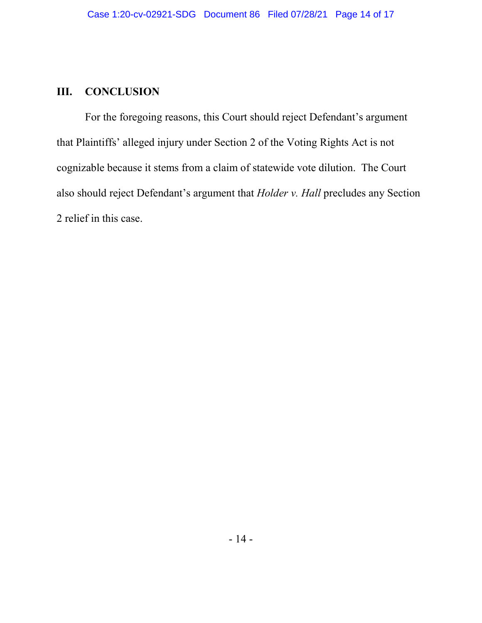#### **III. CONCLUSION**

For the foregoing reasons, this Court should reject Defendant's argument that Plaintiffs' alleged injury under Section 2 of the Voting Rights Act is not cognizable because it stems from a claim of statewide vote dilution. The Court also should reject Defendant's argument that *Holder v. Hall* precludes any Section 2 relief in this case.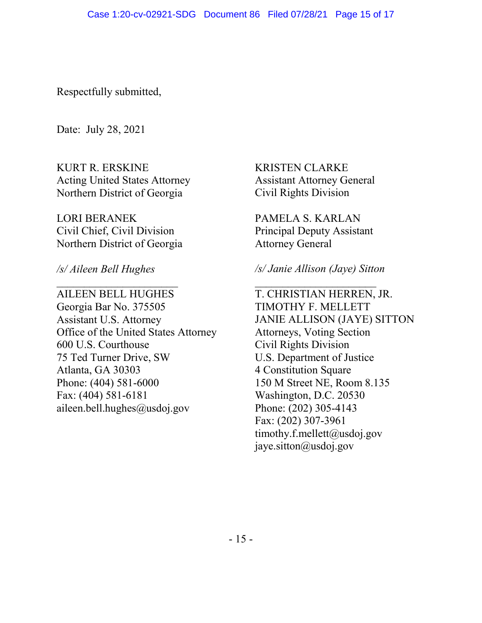Respectfully submitted,

Date: July 28, 2021

KURT R. ERSKINE Acting United States Attorney Northern District of Georgia

LORI BERANEK Civil Chief, Civil Division Northern District of Georgia

 $\overline{\phantom{a}}$  , and the set of the set of the set of the set of the set of the set of the set of the set of the set of the set of the set of the set of the set of the set of the set of the set of the set of the set of the s

*/s/ Aileen Bell Hughes*

AILEEN BELL HUGHES Georgia Bar No. 375505 Assistant U.S. Attorney Office of the United States Attorney 600 U.S. Courthouse 75 Ted Turner Drive, SW Atlanta, GA 30303 Phone: (404) 581-6000 Fax: (404) 581-6181 aileen.bell.hughes@usdoj.gov

KRISTEN CLARKE Assistant Attorney General Civil Rights Division

PAMELA S. KARLAN Principal Deputy Assistant Attorney General

*/s/ Janie Allison (Jaye) Sitton*

 $\overline{\phantom{a}}$ T. CHRISTIAN HERREN, JR. TIMOTHY F. MELLETT JANIE ALLISON (JAYE) SITTON Attorneys, Voting Section Civil Rights Division U.S. Department of Justice 4 Constitution Square 150 M Street NE, Room 8.135 Washington, D.C. 20530 Phone: (202) 305-4143 Fax: (202) 307-3961 timothy.f.mellett@usdoj.gov jaye.sitton@usdoj.gov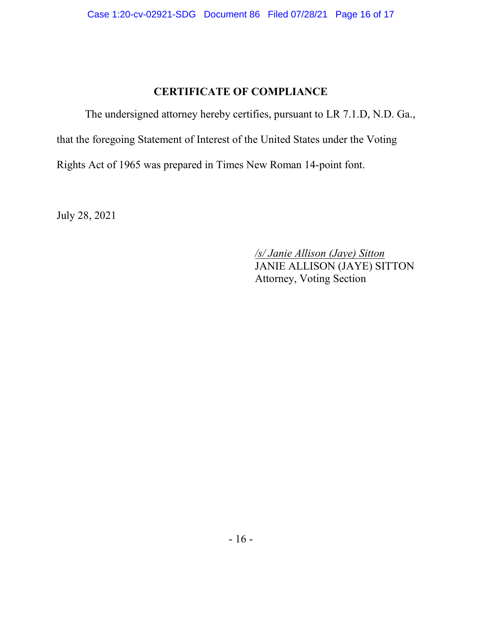# **CERTIFICATE OF COMPLIANCE**

The undersigned attorney hereby certifies, pursuant to LR 7.1.D, N.D. Ga., that the foregoing Statement of Interest of the United States under the Voting Rights Act of 1965 was prepared in Times New Roman 14-point font.

July 28, 2021

*/s/ Janie Allison (Jaye) Sitton* JANIE ALLISON (JAYE) SITTON Attorney, Voting Section